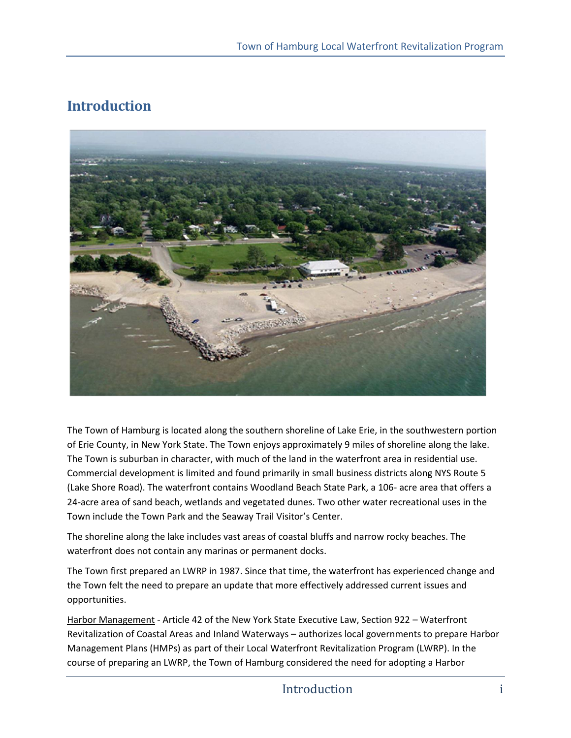## **Introduction**



The Town of Hamburg is located along the southern shoreline of Lake Erie, in the southwestern portion of Erie County, in New York State. The Town enjoys approximately 9 miles of shoreline along the lake. The Town is suburban in character, with much of the land in the waterfront area in residential use. Commercial development is limited and found primarily in small business districts along NYS Route 5 (Lake Shore Road). The waterfront contains Woodland Beach State Park, a 106- acre area that offers a 24-acre area of sand beach, wetlands and vegetated dunes. Two other water recreational uses in the Town include the Town Park and the Seaway Trail Visitor's Center.

The shoreline along the lake includes vast areas of coastal bluffs and narrow rocky beaches. The waterfront does not contain any marinas or permanent docks.

The Town first prepared an LWRP in 1987. Since that time, the waterfront has experienced change and the Town felt the need to prepare an update that more effectively addressed current issues and opportunities.

Harbor Management - Article 42 of the New York State Executive Law, Section 922 – Waterfront Revitalization of Coastal Areas and Inland Waterways – authorizes local governments to prepare Harbor Management Plans (HMPs) as part of their Local Waterfront Revitalization Program (LWRP). In the course of preparing an LWRP, the Town of Hamburg considered the need for adopting a Harbor